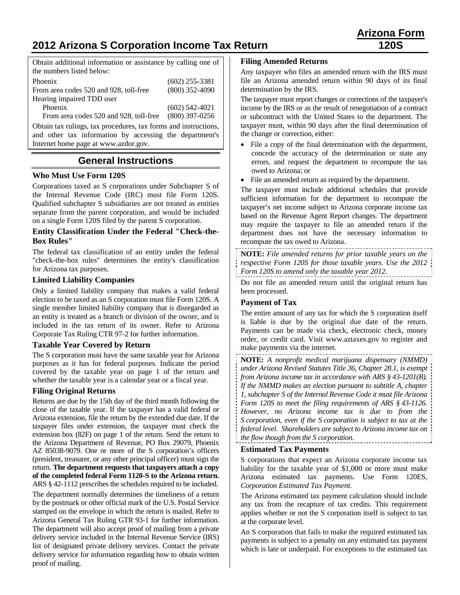# **2012 Arizona S Corporation Income Tax Return 120S**

Obtain additional information or assistance by calling one of the numbers listed below:

| Phoenix                                | $(602)$ 255-3381 |
|----------------------------------------|------------------|
| From area codes 520 and 928, toll-free | $(800)$ 352-4090 |
| Hearing impaired TDD user              |                  |
| Phoenix                                | $(602)$ 542-4021 |
| From area codes 520 and 928, toll-free | $(800)$ 397-0256 |
|                                        |                  |

Obtain tax rulings, tax procedures, tax forms and instructions, and other tax information by accessing the department's Internet home page at www.azdor.gov.

# **General Instructions**

# **Who Must Use Form 120S**

Corporations taxed as S corporations under Subchapter S of the Internal Revenue Code (IRC) must file Form 120S. Qualified subchapter S subsidiaries are not treated as entities separate from the parent corporation, and would be included on a single Form 120S filed by the parent S corporation.

# **Entity Classification Under the Federal "Check-the-Box Rules"**

The federal tax classification of an entity under the federal "check-the-box rules" determines the entity's classification for Arizona tax purposes.

#### **Limited Liability Companies**

Only a limited liability company that makes a valid federal election to be taxed as an S corporation must file Form 120S. A single member limited liability company that is disregarded as an entity is treated as a branch or division of the owner, and is included in the tax return of its owner. Refer to Arizona Corporate Tax Ruling CTR 97-2 for further information.

#### **Taxable Year Covered by Return**

The S corporation must have the same taxable year for Arizona purposes as it has for federal purposes. Indicate the period covered by the taxable year on page 1 of the return and whether the taxable year is a calendar year or a fiscal year.

# **Filing Original Returns**

Returns are due by the 15th day of the third month following the close of the taxable year. If the taxpayer has a valid federal or Arizona extension, file the return by the extended due date. If the taxpayer files under extension, the taxpayer must check the extension box (82F) on page 1 of the return. Send the return to the Arizona Department of Revenue, PO Box 29079, Phoenix AZ 85038-9079. One or more of the S corporation's officers (president, treasurer, or any other principal officer) must sign the return. **The department requests that taxpayers attach a copy of the completed federal Form 1120-S to the Arizona return.** ARS § 42-1112 prescribes the schedules required to be included.

The department normally determines the timeliness of a return by the postmark or other official mark of the U.S. Postal Service stamped on the envelope in which the return is mailed. Refer to Arizona General Tax Ruling GTR 93-1 for further information. The department will also accept proof of mailing from a private delivery service included in the Internal Revenue Service (IRS) list of designated private delivery services. Contact the private delivery service for information regarding how to obtain written proof of mailing.

# **Filing Amended Returns**

Any taxpayer who files an amended return with the IRS must file an Arizona amended return within 90 days of its final determination by the IRS.

The taxpayer must report changes or corrections of the taxpayer's income by the IRS or as the result of renegotiation of a contract or subcontract with the United States to the department. The taxpayer must, within 90 days after the final determination of the change or correction, either:

- File a copy of the final determination with the department, concede the accuracy of the determination or state any errors, and request the department to recompute the tax owed to Arizona; or
- File an amended return as required by the department.

The taxpayer must include additional schedules that provide sufficient information for the department to recompute the taxpayer's net income subject to Arizona corporate income tax based on the Revenue Agent Report changes. The department may require the taxpayer to file an amended return if the department does not have the necessary information to recompute the tax owed to Arizona.

**NOTE:** *File amended returns for prior taxable years on the respective Form 120S for those taxable years. Use the 2012 Form 120S to amend only the taxable year 2012.*

Do not file an amended return until the original return has been processed.

#### **Payment of Tax**

The entire amount of any tax for which the S corporation itself is liable is due by the original due date of the return. Payments can be made via check, electronic check, money order, or credit card. Visit www.aztaxes.gov to register and make payments via the internet.

**NOTE:** *A nonprofit medical marijuana dispensary (NMMD) under Arizona Revised Statutes Title 36, Chapter 28.1, is exempt from Arizona income tax in accordance with ARS § 43-1201(B). If the NMMD makes an election pursuant to subtitle A, chapter 1, subchapter S of the Internal Revenue Code it must file Arizona Form 120S to meet the filing requirements of ARS § 43-1126. However, no Arizona income tax is due to from the S corporation, even if the S corporation is subject to tax at the federal level. Shareholders are subject to Arizona income tax on the flow though from the S corporation.*

# **Estimated Tax Payments**

S corporations that expect an Arizona corporate income tax liability for the taxable year of \$1,000 or more must make Arizona estimated tax payments. Use Form 120ES, *Corporation Estimated Tax Payment*.

The Arizona estimated tax payment calculation should include any tax from the recapture of tax credits. This requirement applies whether or not the S corporation itself is subject to tax at the corporate level.

An S corporation that fails to make the required estimated tax payments is subject to a penalty on any estimated tax payment which is late or underpaid. For exceptions to the estimated tax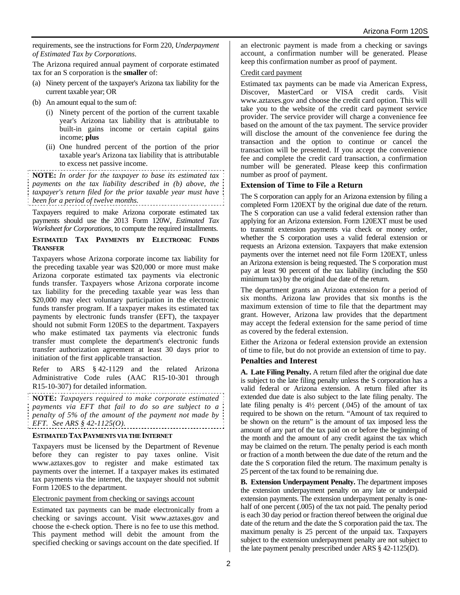requirements, see the instructions for Form 220, *Underpayment of Estimated Tax by Corporations*.

The Arizona required annual payment of corporate estimated tax for an S corporation is the **smaller** of:

- (a) Ninety percent of the taxpayer's Arizona tax liability for the current taxable year; OR
- (b) An amount equal to the sum of:
	- (i) Ninety percent of the portion of the current taxable year's Arizona tax liability that is attributable to built-in gains income or certain capital gains income; **plus**
	- (ii) One hundred percent of the portion of the prior taxable year's Arizona tax liability that is attributable to excess net passive income.

**NOTE:** *In order for the taxpayer to base its estimated tax payments on the tax liability described in (b) above, the taxpayer's return filed for the prior taxable year must have been for a period of twelve months.*

Taxpayers required to make Arizona corporate estimated tax payments should use the 2013 Form 120W, *Estimated Tax Worksheet for Corporations*, to compute the required installments.

#### **ESTIMATED TAX PAYMENTS BY ELECTRONIC FUNDS TRANSFER**

Taxpayers whose Arizona corporate income tax liability for the preceding taxable year was \$20,000 or more must make Arizona corporate estimated tax payments via electronic funds transfer. Taxpayers whose Arizona corporate income tax liability for the preceding taxable year was less than \$20,000 may elect voluntary participation in the electronic funds transfer program. If a taxpayer makes its estimated tax payments by electronic funds transfer (EFT), the taxpayer should not submit Form 120ES to the department. Taxpayers who make estimated tax payments via electronic funds transfer must complete the department's electronic funds transfer authorization agreement at least 30 days prior to initiation of the first applicable transaction.

Refer to ARS § 42-1129 and the related Arizona Administrative Code rules (AAC R15-10-301 through R15-10-307) for detailed information.

**NOTE:** *Taxpayers required to make corporate estimated payments via EFT that fail to do so are subject to a penalty of 5% of the amount of the payment not made by EFT. See ARS § 42-1125(O).* 

#### **ESTIMATED TAX PAYMENTS VIA THE INTERNET**

Taxpayers must be licensed by the Department of Revenue before they can register to pay taxes online. Visit www.aztaxes.gov to register and make estimated tax payments over the internet. If a taxpayer makes its estimated tax payments via the internet, the taxpayer should not submit Form 120ES to the department.

#### Electronic payment from checking or savings account

Estimated tax payments can be made electronically from a checking or savings account. Visit www.aztaxes.gov and choose the e-check option. There is no fee to use this method. This payment method will debit the amount from the specified checking or savings account on the date specified. If an electronic payment is made from a checking or savings account, a confirmation number will be generated. Please keep this confirmation number as proof of payment.

#### Credit card payment

Estimated tax payments can be made via American Express, Discover, MasterCard or VISA credit cards. Visit www.aztaxes.gov and choose the credit card option. This will take you to the website of the credit card payment service provider. The service provider will charge a convenience fee based on the amount of the tax payment. The service provider will disclose the amount of the convenience fee during the transaction and the option to continue or cancel the transaction will be presented. If you accept the convenience fee and complete the credit card transaction, a confirmation number will be generated. Please keep this confirmation number as proof of payment.

# **Extension of Time to File a Return**

The S corporation can apply for an Arizona extension by filing a completed Form 120EXT by the original due date of the return. The S corporation can use a valid federal extension rather than applying for an Arizona extension. Form 120EXT must be used to transmit extension payments via check or money order, whether the S corporation uses a valid federal extension or requests an Arizona extension. Taxpayers that make extension payments over the internet need not file Form 120EXT, unless an Arizona extension is being requested. The S corporation must pay at least 90 percent of the tax liability (including the \$50 minimum tax) by the original due date of the return.

The department grants an Arizona extension for a period of six months. Arizona law provides that six months is the maximum extension of time to file that the department may grant. However, Arizona law provides that the department may accept the federal extension for the same period of time as covered by the federal extension.

Either the Arizona or federal extension provide an extension of time to file, but do not provide an extension of time to pay.

# **Penalties and Interest**

**A. Late Filing Penalty.** A return filed after the original due date is subject to the late filing penalty unless the S corporation has a valid federal or Arizona extension. A return filed after its extended due date is also subject to the late filing penalty. The late filing penalty is 4½ percent (.045) of the amount of tax required to be shown on the return. "Amount of tax required to be shown on the return" is the amount of tax imposed less the amount of any part of the tax paid on or before the beginning of the month and the amount of any credit against the tax which may be claimed on the return. The penalty period is each month or fraction of a month between the due date of the return and the date the S corporation filed the return. The maximum penalty is 25 percent of the tax found to be remaining due.

**B. Extension Underpayment Penalty.** The department imposes the extension underpayment penalty on any late or underpaid extension payments. The extension underpayment penalty is onehalf of one percent (.005) of the tax not paid. The penalty period is each 30 day period or fraction thereof between the original due date of the return and the date the S corporation paid the tax. The maximum penalty is 25 percent of the unpaid tax. Taxpayers subject to the extension underpayment penalty are not subject to the late payment penalty prescribed under ARS § 42-1125(D).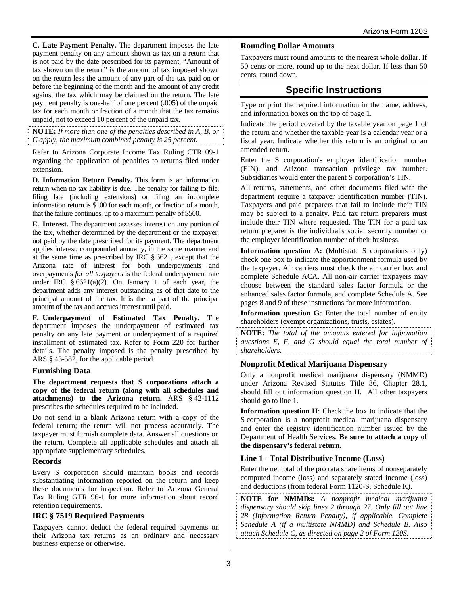**C. Late Payment Penalty.** The department imposes the late payment penalty on any amount shown as tax on a return that is not paid by the date prescribed for its payment. "Amount of tax shown on the return" is the amount of tax imposed shown on the return less the amount of any part of the tax paid on or before the beginning of the month and the amount of any credit against the tax which may be claimed on the return. The late payment penalty is one-half of one percent (.005) of the unpaid tax for each month or fraction of a month that the tax remains unpaid, not to exceed 10 percent of the unpaid tax.

**NOTE:** *If more than one of the penalties described in A, B, or C apply, the maximum combined penalty is 25 percent.*

Refer to Arizona Corporate Income Tax Ruling CTR 09-1 regarding the application of penalties to returns filed under extension.

**D. Information Return Penalty.** This form is an information return when no tax liability is due. The penalty for failing to file, filing late (including extensions) or filing an incomplete information return is \$100 for each month, or fraction of a month, that the failure continues, up to a maximum penalty of \$500.

**E. Interest.** The department assesses interest on any portion of the tax, whether determined by the department or the taxpayer, not paid by the date prescribed for its payment. The department applies interest, compounded annually, in the same manner and at the same time as prescribed by IRC § 6621, except that the Arizona rate of interest for both underpayments and overpayments *for all taxpayers* is the federal underpayment rate under IRC  $\frac{6621(a)(2)}{2}$ . On January 1 of each year, the department adds any interest outstanding as of that date to the principal amount of the tax. It is then a part of the principal amount of the tax and accrues interest until paid.

**F. Underpayment of Estimated Tax Penalty.** The department imposes the underpayment of estimated tax penalty on any late payment or underpayment of a required installment of estimated tax. Refer to Form 220 for further details. The penalty imposed is the penalty prescribed by ARS § 43-582, for the applicable period.

# **Furnishing Data**

**The department requests that S corporations attach a copy of the federal return (along with all schedules and attachments) to the Arizona return.** ARS § 42-1112 prescribes the schedules required to be included.

Do not send in a blank Arizona return with a copy of the federal return; the return will not process accurately. The taxpayer must furnish complete data. Answer all questions on the return. Complete all applicable schedules and attach all appropriate supplementary schedules.

# **Records**

Every S corporation should maintain books and records substantiating information reported on the return and keep these documents for inspection. Refer to Arizona General Tax Ruling GTR 96-1 for more information about record retention requirements.

# **IRC § 7519 Required Payments**

Taxpayers cannot deduct the federal required payments on their Arizona tax returns as an ordinary and necessary business expense or otherwise.

#### **Rounding Dollar Amounts**

Taxpayers must round amounts to the nearest whole dollar. If 50 cents or more, round up to the next dollar. If less than 50 cents, round down.

# **Specific Instructions**

Type or print the required information in the name, address, and information boxes on the top of page 1.

Indicate the period covered by the taxable year on page 1 of the return and whether the taxable year is a calendar year or a fiscal year. Indicate whether this return is an original or an amended return.

Enter the S corporation's employer identification number (EIN), and Arizona transaction privilege tax number. Subsidiaries would enter the parent S corporation's TIN.

All returns, statements, and other documents filed with the department require a taxpayer identification number (TIN). Taxpayers and paid preparers that fail to include their TIN may be subject to a penalty. Paid tax return preparers must include their TIN where requested. The TIN for a paid tax return preparer is the individual's social security number or the employer identification number of their business.

**Information question A:** (Multistate S corporations only) check one box to indicate the apportionment formula used by the taxpayer. Air carriers must check the air carrier box and complete Schedule ACA. All non-air carrier taxpayers may choose between the standard sales factor formula or the enhanced sales factor formula, and complete Schedule A. See pages 8 and 9 of these instructions for more information.

**Information question G***:* Enter the total number of entity shareholders (exempt organizations, trusts, estates).

**NOTE:** *The total of the amounts entered for information questions E, F, and G should equal the total number of shareholders.*

#### **Nonprofit Medical Marijuana Dispensary**

Only a nonprofit medical marijuana dispensary (NMMD) under Arizona Revised Statutes Title 36, Chapter 28.1, should fill out information question H. All other taxpayers should go to line 1.

**Information question H**: Check the box to indicate that the S corporation is a nonprofit medical marijuana dispensary and enter the registry identification number issued by the Department of Health Services. **Be sure to attach a copy of the dispensary's federal return.**

# **Line 1 - Total Distributive Income (Loss)**

Enter the net total of the pro rata share items of nonseparately computed income (loss) and separately stated income (loss) and deductions (from federal Form 1120-S, Schedule K).

**NOTE for NMMDs:** *A nonprofit medical marijuana dispensary should skip lines 2 through 27. Only fill out line 28 (Information Return Penalty), if applicable. Complete Schedule A (if a multistate NMMD) and Schedule B. Also attach Schedule C, as directed on page 2 of Form 120S.*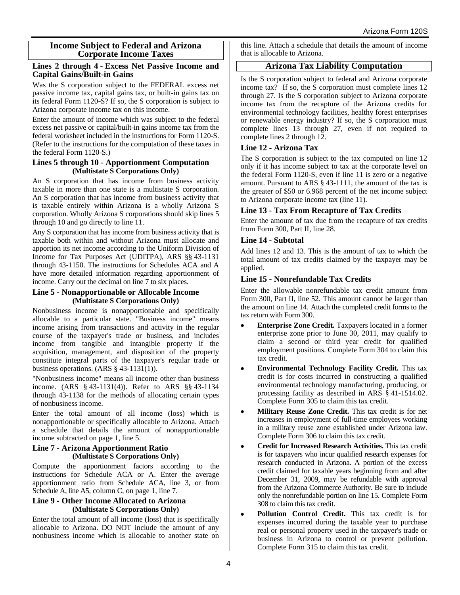#### **Income Subject to Federal and Arizona Corporate Income Taxes**

#### **Lines 2 through 4 - Excess Net Passive Income and Capital Gains/Built-in Gains**

Was the S corporation subject to the FEDERAL excess net passive income tax, capital gains tax, or built-in gains tax on its federal Form 1120-S? If so, the S corporation is subject to Arizona corporate income tax on this income.

Enter the amount of income which was subject to the federal excess net passive or capital/built-in gains income tax from the federal worksheet included in the instructions for Form 1120-S. (Refer to the instructions for the computation of these taxes in the federal Form 1120-S.)

#### **Lines 5 through 10 - Apportionment Computation (Multistate S Corporations Only)**

An S corporation that has income from business activity taxable in more than one state is a multistate S corporation. An S corporation that has income from business activity that is taxable entirely within Arizona is a wholly Arizona S corporation. Wholly Arizona S corporations should skip lines 5 through 10 and go directly to line 11.

Any S corporation that has income from business activity that is taxable both within and without Arizona must allocate and apportion its net income according to the Uniform Division of Income for Tax Purposes Act (UDITPA), ARS §§ 43-1131 through 43-1150. The instructions for Schedules ACA and A have more detailed information regarding apportionment of income. Carry out the decimal on line 7 to six places.

#### **Line 5 - Nonapportionable or Allocable Income (Multistate S Corporations Only)**

Nonbusiness income is nonapportionable and specifically allocable to a particular state. "Business income" means income arising from transactions and activity in the regular course of the taxpayer's trade or business, and includes income from tangible and intangible property if the acquisition, management, and disposition of the property constitute integral parts of the taxpayer's regular trade or business operations. (ARS § 43-1131(1)).

"Nonbusiness income" means all income other than business income. (ARS § 43-1131(4)). Refer to ARS §§ 43-1134 through 43-1138 for the methods of allocating certain types of nonbusiness income.

Enter the total amount of all income (loss) which is nonapportionable or specifically allocable to Arizona. Attach a schedule that details the amount of nonapportionable income subtracted on page 1, line 5.

#### **Line 7 - Arizona Apportionment Ratio (Multistate S Corporations Only)**

Compute the apportionment factors according to the instructions for Schedule ACA or A. Enter the average apportionment ratio from Schedule ACA, line 3, or from Schedule A, line A5, column C, on page 1, line 7.

#### **Line 9 - Other Income Allocated to Arizona (Multistate S Corporations Only)**

Enter the total amount of all income (loss) that is specifically allocable to Arizona. DO NOT include the amount of any nonbusiness income which is allocable to another state on this line. Attach a schedule that details the amount of income that is allocable to Arizona.

# **Arizona Tax Liability Computation**

Is the S corporation subject to federal and Arizona corporate income tax? If so, the S corporation must complete lines 12 through 27. Is the S corporation subject to Arizona corporate income tax from the recapture of the Arizona credits for environmental technology facilities, healthy forest enterprises or renewable energy industry? If so, the S corporation must complete lines 13 through 27, even if not required to complete lines 2 through 12.

# **Line 12 - Arizona Tax**

The S corporation is subject to the tax computed on line 12 only if it has income subject to tax at the corporate level on the federal Form 1120-S, even if line 11 is zero or a negative amount. Pursuant to ARS § 43-1111, the amount of the tax is the greater of \$50 or 6.968 percent of the net income subject to Arizona corporate income tax (line 11).

# **Line 13 - Tax From Recapture of Tax Credits**

Enter the amount of tax due from the recapture of tax credits from Form 300, Part II, line 28.

# **Line 14 - Subtotal**

Add lines 12 and 13. This is the amount of tax to which the total amount of tax credits claimed by the taxpayer may be applied.

# **Line 15 - Nonrefundable Tax Credits**

Enter the allowable nonrefundable tax credit amount from Form 300, Part II, line 52. This amount cannot be larger than the amount on line 14. Attach the completed credit forms to the tax return with Form 300.

- **Enterprise Zone Credit.** Taxpayers located in a former enterprise zone prior to June 30, 2011, may qualify to claim a second or third year credit for qualified employment positions. Complete Form 304 to claim this tax credit.
- **Environmental Technology Facility Credit.** This tax credit is for costs incurred in constructing a qualified environmental technology manufacturing, producing, or processing facility as described in ARS § 41-1514.02. Complete Form 305 to claim this tax credit.
- **Military Reuse Zone Credit.** This tax credit is for net increases in employment of full-time employees working in a military reuse zone established under Arizona law. Complete Form 306 to claim this tax credit.
- **Credit for Increased Research Activities.** This tax credit is for taxpayers who incur qualified research expenses for research conducted in Arizona. A portion of the excess credit claimed for taxable years beginning from and after December 31, 2009, may be refundable with approval from the Arizona Commerce Authority. Be sure to include only the nonrefundable portion on line 15. Complete Form 308 to claim this tax credit.
- **Pollution Control Credit.** This tax credit is for expenses incurred during the taxable year to purchase real or personal property used in the taxpayer's trade or business in Arizona to control or prevent pollution. Complete Form 315 to claim this tax credit.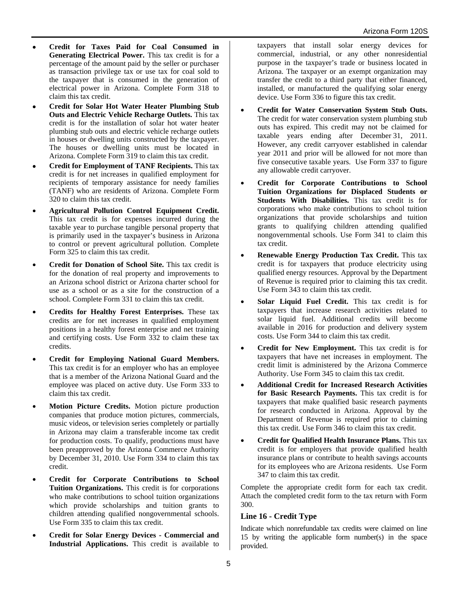- **Credit for Taxes Paid for Coal Consumed in Generating Electrical Power.** This tax credit is for a percentage of the amount paid by the seller or purchaser as transaction privilege tax or use tax for coal sold to the taxpayer that is consumed in the generation of electrical power in Arizona. Complete Form 318 to claim this tax credit.
- **Credit for Solar Hot Water Heater Plumbing Stub Outs and Electric Vehicle Recharge Outlets.** This tax credit is for the installation of solar hot water heater plumbing stub outs and electric vehicle recharge outlets in houses or dwelling units constructed by the taxpayer. The houses or dwelling units must be located in Arizona. Complete Form 319 to claim this tax credit.
- **Credit for Employment of TANF Recipients.** This tax credit is for net increases in qualified employment for recipients of temporary assistance for needy families (TANF) who are residents of Arizona. Complete Form 320 to claim this tax credit.
- **Agricultural Pollution Control Equipment Credit.** This tax credit is for expenses incurred during the taxable year to purchase tangible personal property that is primarily used in the taxpayer's business in Arizona to control or prevent agricultural pollution. Complete Form 325 to claim this tax credit.
- **Credit for Donation of School Site.** This tax credit is for the donation of real property and improvements to an Arizona school district or Arizona charter school for use as a school or as a site for the construction of a school. Complete Form 331 to claim this tax credit.
- **Credits for Healthy Forest Enterprises.** These tax credits are for net increases in qualified employment positions in a healthy forest enterprise and net training and certifying costs. Use Form 332 to claim these tax credits.
- **Credit for Employing National Guard Members.**  This tax credit is for an employer who has an employee that is a member of the Arizona National Guard and the employee was placed on active duty. Use Form 333 to claim this tax credit.
- **Motion Picture Credits.** Motion picture production companies that produce motion pictures, commercials, music videos, or television series completely or partially in Arizona may claim a transferable income tax credit for production costs. To qualify, productions must have been preapproved by the Arizona Commerce Authority by December 31, 2010. Use Form 334 to claim this tax credit.
- **Credit for Corporate Contributions to School Tuition Organizations.** This credit is for corporations who make contributions to school tuition organizations which provide scholarships and tuition grants to children attending qualified nongovernmental schools. Use Form 335 to claim this tax credit.
- **Credit for Solar Energy Devices Commercial and Industrial Applications.** This credit is available to

taxpayers that install solar energy devices for commercial, industrial, or any other nonresidential purpose in the taxpayer's trade or business located in Arizona. The taxpayer or an exempt organization may transfer the credit to a third party that either financed, installed, or manufactured the qualifying solar energy device. Use Form 336 to figure this tax credit.

- **Credit for Water Conservation System Stub Outs.** The credit for water conservation system plumbing stub outs has expired. This credit may not be claimed for taxable years ending after December 31, 2011. However, any credit carryover established in calendar year 2011 and prior will be allowed for not more than five consecutive taxable years. Use Form 337 to figure any allowable credit carryover.
- **Credit for Corporate Contributions to School Tuition Organizations for Displaced Students or Students With Disabilities.** This tax credit is for corporations who make contributions to school tuition organizations that provide scholarships and tuition grants to qualifying children attending qualified nongovernmental schools. Use Form 341 to claim this tax credit.
- **Renewable Energy Production Tax Credit.** This tax credit is for taxpayers that produce electricity using qualified energy resources. Approval by the Department of Revenue is required prior to claiming this tax credit. Use Form 343 to claim this tax credit.
- **Solar Liquid Fuel Credit.** This tax credit is for taxpayers that increase research activities related to solar liquid fuel. Additional credits will become available in 2016 for production and delivery system costs. Use Form 344 to claim this tax credit.
- **Credit for New Employment.** This tax credit is for taxpayers that have net increases in employment. The credit limit is administered by the Arizona Commerce Authority. Use Form 345 to claim this tax credit.
- **Additional Credit for Increased Research Activities for Basic Research Payments.** This tax credit is for taxpayers that make qualified basic research payments for research conducted in Arizona. Approval by the Department of Revenue is required prior to claiming this tax credit. Use Form 346 to claim this tax credit.
- **Credit for Qualified Health Insurance Plans.** This tax credit is for employers that provide qualified health insurance plans or contribute to health savings accounts for its employees who are Arizona residents. Use Form 347 to claim this tax credit.

Complete the appropriate credit form for each tax credit. Attach the completed credit form to the tax return with Form 300.

# **Line 16 - Credit Type**

Indicate which nonrefundable tax credits were claimed on line 15 by writing the applicable form number(s) in the space provided.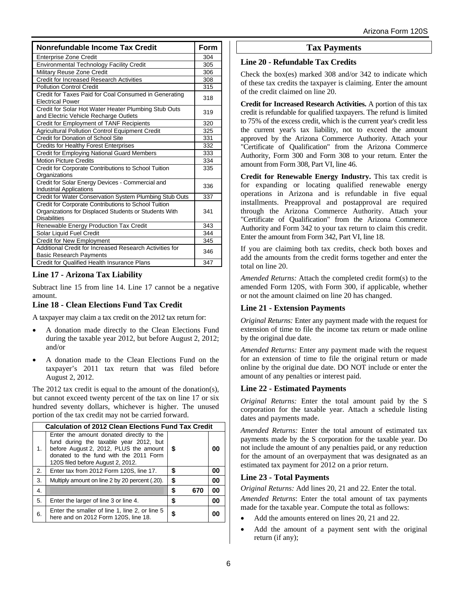| Nonrefundable Income Tax Credit                                                                                                      |     |
|--------------------------------------------------------------------------------------------------------------------------------------|-----|
| <b>Enterprise Zone Credit</b>                                                                                                        | 304 |
| <b>Environmental Technology Facility Credit</b>                                                                                      | 305 |
| Military Reuse Zone Credit                                                                                                           | 306 |
| Credit for Increased Research Activities                                                                                             | 308 |
| <b>Pollution Control Credit</b>                                                                                                      | 315 |
| Credit for Taxes Paid for Coal Consumed in Generating<br><b>Electrical Power</b>                                                     | 318 |
| Credit for Solar Hot Water Heater Plumbing Stub Outs<br>and Electric Vehicle Recharge Outlets                                        |     |
| Credit for Employment of TANF Recipients                                                                                             | 320 |
| Agricultural Pollution Control Equipment Credit                                                                                      | 325 |
| Credit for Donation of School Site                                                                                                   | 331 |
| <b>Credits for Healthy Forest Enterprises</b>                                                                                        | 332 |
| <b>Credit for Employing National Guard Members</b>                                                                                   | 333 |
| <b>Motion Picture Credits</b>                                                                                                        | 334 |
| Credit for Corporate Contributions to School Tuition<br>Organizations                                                                | 335 |
| Credit for Solar Energy Devices - Commercial and<br>Industrial Applications                                                          |     |
| Credit for Water Conservation System Plumbing Stub Outs                                                                              | 337 |
| Credit for Corporate Contributions to School Tuition<br>Organizations for Displaced Students or Students With<br><b>Disabilities</b> |     |
| Renewable Energy Production Tax Credit                                                                                               | 343 |
| Solar Liquid Fuel Credit                                                                                                             | 344 |
| Credit for New Employment                                                                                                            | 345 |
| Additional Credit for Increased Research Activities for<br><b>Basic Research Payments</b>                                            | 346 |
| Credit for Qualified Health Insurance Plans                                                                                          | 347 |

# **Line 17 - Arizona Tax Liability**

Subtract line 15 from line 14. Line 17 cannot be a negative amount.

# **Line 18 - Clean Elections Fund Tax Credit**

A taxpayer may claim a tax credit on the 2012 tax return for:

- A donation made directly to the Clean Elections Fund during the taxable year 2012, but before August 2, 2012; and/or
- A donation made to the Clean Elections Fund on the taxpayer's 2011 tax return that was filed before August 2, 2012.

The 2012 tax credit is equal to the amount of the donation(s), but cannot exceed twenty percent of the tax on line 17 or six hundred seventy dollars, whichever is higher. The unused portion of the tax credit may not be carried forward.

| <b>Calculation of 2012 Clean Elections Fund Tax Credit</b> |                                                                                                                                                                                                             |    |     |    |
|------------------------------------------------------------|-------------------------------------------------------------------------------------------------------------------------------------------------------------------------------------------------------------|----|-----|----|
| 1.                                                         | Enter the amount donated directly to the<br>fund during the taxable year 2012, but<br>before August 2, 2012, PLUS the amount<br>donated to the fund with the 2011 Form<br>120S filed before August 2, 2012. | 5  |     | 00 |
| 2.                                                         | Enter tax from 2012 Form 120S, line 17.                                                                                                                                                                     | \$ |     | 00 |
| 3.                                                         | Multiply amount on line 2 by 20 percent (.20).                                                                                                                                                              | \$ |     | 00 |
| 4.                                                         |                                                                                                                                                                                                             | \$ | 670 | 00 |
| 5.                                                         | Enter the larger of line 3 or line 4.                                                                                                                                                                       | \$ |     | 00 |
| 6.                                                         | Enter the smaller of line 1, line 2, or line 5<br>here and on 2012 Form 120S, line 18.                                                                                                                      |    |     |    |

# **Tax Payments**

#### **Line 20 - Refundable Tax Credits**

Check the box(es) marked 308 and/or 342 to indicate which of these tax credits the taxpayer is claiming. Enter the amount of the credit claimed on line 20.

**Credit for Increased Research Activities.** A portion of this tax credit is refundable for qualified taxpayers. The refund is limited to 75% of the excess credit, which is the current year's credit less the current year's tax liability, not to exceed the amount approved by the Arizona Commerce Authority. Attach your "Certificate of Qualification" from the Arizona Commerce Authority, Form 300 and Form 308 to your return. Enter the amount from Form 308, Part VI, line 46.

**Credit for Renewable Energy Industry.** This tax credit is for expanding or locating qualified renewable energy operations in Arizona and is refundable in five equal installments. Preapproval and postapproval are required through the Arizona Commerce Authority. Attach your "Certificate of Qualification" from the Arizona Commerce Authority and Form 342 to your tax return to claim this credit. Enter the amount from Form 342, Part VI, line 18.

If you are claiming both tax credits, check both boxes and add the amounts from the credit forms together and enter the total on line 20.

*Amended Returns:* Attach the completed credit form(s) to the amended Form 120S, with Form 300, if applicable, whether or not the amount claimed on line 20 has changed.

# **Line 21 - Extension Payments**

*Original Returns:* Enter any payment made with the request for extension of time to file the income tax return or made online by the original due date.

*Amended Returns:* Enter any payment made with the request for an extension of time to file the original return or made online by the original due date. DO NOT include or enter the amount of any penalties or interest paid.

# **Line 22 - Estimated Payments**

*Original Returns:* Enter the total amount paid by the S corporation for the taxable year. Attach a schedule listing dates and payments made.

*Amended Returns:* Enter the total amount of estimated tax payments made by the S corporation for the taxable year. Do not include the amount of any penalties paid, or any reduction for the amount of an overpayment that was designated as an estimated tax payment for 2012 on a prior return.

# **Line 23 - Total Payments**

*Original Returns:* Add lines 20, 21 and 22. Enter the total.

*Amended Returns*: Enter the total amount of tax payments made for the taxable year. Compute the total as follows:

- Add the amounts entered on lines 20, 21 and 22.
- Add the amount of a payment sent with the original return (if any);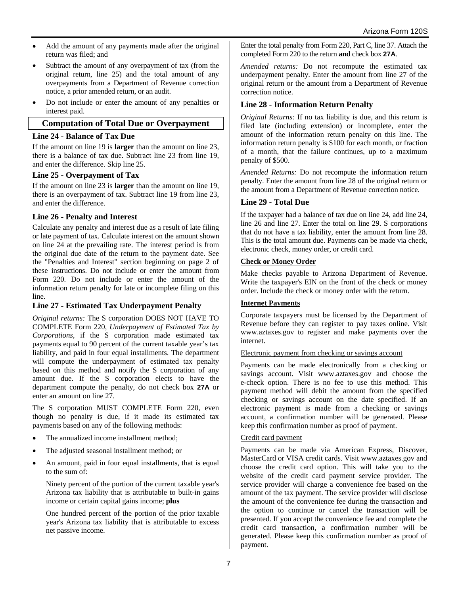- Add the amount of any payments made after the original return was filed; and
- Subtract the amount of any overpayment of tax (from the original return, line 25) and the total amount of any overpayments from a Department of Revenue correction notice, a prior amended return, or an audit.
- Do not include or enter the amount of any penalties or interest paid.

# **Computation of Total Due or Overpayment**

#### **Line 24 - Balance of Tax Due**

If the amount on line 19 is **larger** than the amount on line 23, there is a balance of tax due. Subtract line 23 from line 19, and enter the difference. Skip line 25.

#### **Line 25 - Overpayment of Tax**

If the amount on line 23 is **larger** than the amount on line 19, there is an overpayment of tax. Subtract line 19 from line 23, and enter the difference.

# **Line 26 - Penalty and Interest**

Calculate any penalty and interest due as a result of late filing or late payment of tax. Calculate interest on the amount shown on line 24 at the prevailing rate. The interest period is from the original due date of the return to the payment date. See the "Penalties and Interest" section beginning on page 2 of these instructions. Do not include or enter the amount from Form 220. Do not include or enter the amount of the information return penalty for late or incomplete filing on this line.

# **Line 27 - Estimated Tax Underpayment Penalty**

*Original returns:* The S corporation DOES NOT HAVE TO COMPLETE Form 220, *Underpayment of Estimated Tax by Corporations*, if the S corporation made estimated tax payments equal to 90 percent of the current taxable year's tax liability, and paid in four equal installments. The department will compute the underpayment of estimated tax penalty based on this method and notify the S corporation of any amount due. If the S corporation elects to have the department compute the penalty, do not check box **27A** or enter an amount on line 27.

The S corporation MUST COMPLETE Form 220, even though no penalty is due, if it made its estimated tax payments based on any of the following methods:

- The annualized income installment method;
- The adjusted seasonal installment method; or
- An amount, paid in four equal installments, that is equal to the sum of:

Ninety percent of the portion of the current taxable year's Arizona tax liability that is attributable to built-in gains income or certain capital gains income; **plus**

One hundred percent of the portion of the prior taxable year's Arizona tax liability that is attributable to excess net passive income.

Enter the total penalty from Form 220, Part C, line 37. Attach the completed Form 220 to the return **and** check box **27A**.

*Amended returns:* Do not recompute the estimated tax underpayment penalty. Enter the amount from line 27 of the original return or the amount from a Department of Revenue correction notice.

# **Line 28 - Information Return Penalty**

*Original Returns:* If no tax liability is due, and this return is filed late (including extension) or incomplete, enter the amount of the information return penalty on this line. The information return penalty is \$100 for each month, or fraction of a month, that the failure continues, up to a maximum penalty of \$500.

*Amended Returns:* Do not recompute the information return penalty. Enter the amount from line 28 of the original return or the amount from a Department of Revenue correction notice.

# **Line 29 - Total Due**

If the taxpayer had a balance of tax due on line 24, add line 24, line 26 and line 27. Enter the total on line 29. S corporations that do not have a tax liability, enter the amount from line 28. This is the total amount due. Payments can be made via check, electronic check, money order, or credit card.

#### **Check or Money Order**

Make checks payable to Arizona Department of Revenue. Write the taxpayer's EIN on the front of the check or money order. Include the check or money order with the return.

#### **Internet Payments**

Corporate taxpayers must be licensed by the Department of Revenue before they can register to pay taxes online. Visit www.aztaxes.gov to register and make payments over the internet.

#### Electronic payment from checking or savings account

Payments can be made electronically from a checking or savings account. Visit www.aztaxes.gov and choose the e-check option. There is no fee to use this method. This payment method will debit the amount from the specified checking or savings account on the date specified. If an electronic payment is made from a checking or savings account, a confirmation number will be generated. Please keep this confirmation number as proof of payment.

#### Credit card payment

Payments can be made via American Express, Discover, MasterCard or VISA credit cards. Visit www.aztaxes.gov and choose the credit card option. This will take you to the website of the credit card payment service provider. The service provider will charge a convenience fee based on the amount of the tax payment. The service provider will disclose the amount of the convenience fee during the transaction and the option to continue or cancel the transaction will be presented. If you accept the convenience fee and complete the credit card transaction, a confirmation number will be generated. Please keep this confirmation number as proof of payment.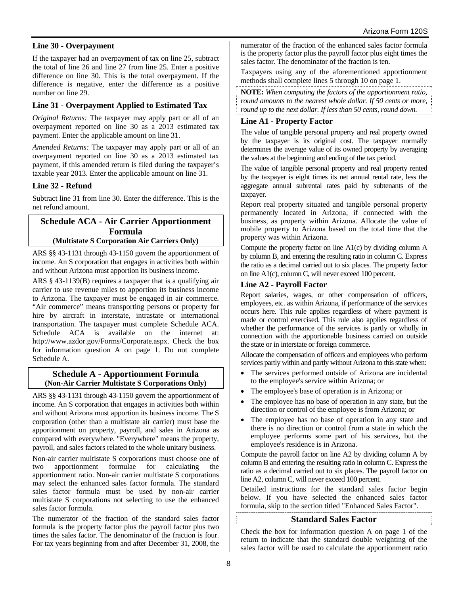# **Line 30 - Overpayment**

If the taxpayer had an overpayment of tax on line 25, subtract the total of line 26 and line 27 from line 25. Enter a positive difference on line 30. This is the total overpayment. If the difference is negative, enter the difference as a positive number on line 29.

# **Line 31 - Overpayment Applied to Estimated Tax**

*Original Returns:* The taxpayer may apply part or all of an overpayment reported on line 30 as a 2013 estimated tax payment. Enter the applicable amount on line 31.

*Amended Returns:* The taxpayer may apply part or all of an overpayment reported on line 30 as a 2013 estimated tax payment, if this amended return is filed during the taxpayer's taxable year 2013. Enter the applicable amount on line 31.

# **Line 32 - Refund**

Subtract line 31 from line 30. Enter the difference. This is the net refund amount.

#### **Schedule ACA - Air Carrier Apportionment Formula (Multistate S Corporation Air Carriers Only)**

ARS §§ 43-1131 through 43-1150 govern the apportionment of income. An S corporation that engages in activities both within and without Arizona must apportion its business income.

ARS § 43-1139(B) requires a taxpayer that is a qualifying air carrier to use revenue miles to apportion its business income to Arizona. The taxpayer must be engaged in air commerce. "Air commerce" means transporting persons or property for hire by aircraft in interstate, intrastate or international transportation. The taxpayer must complete Schedule ACA. Schedule ACA is available on the internet at: http://www.azdor.gov/Forms/Corporate.aspx. Check the box for information question A on page 1. Do not complete Schedule A.

#### **Schedule A - Apportionment Formula (Non-Air Carrier Multistate S Corporations Only)**

ARS §§ 43-1131 through 43-1150 govern the apportionment of income. An S corporation that engages in activities both within and without Arizona must apportion its business income. The S corporation (other than a multistate air carrier) must base the apportionment on property, payroll, and sales in Arizona as compared with everywhere. "Everywhere" means the property, payroll, and sales factors related to the whole unitary business.

Non-air carrier multistate S corporations must choose one of two apportionment formulae for calculating the apportionment ratio. Non-air carrier multistate S corporations may select the enhanced sales factor formula. The standard sales factor formula must be used by non-air carrier multistate S corporations not selecting to use the enhanced sales factor formula.

The numerator of the fraction of the standard sales factor formula is the property factor plus the payroll factor plus two times the sales factor. The denominator of the fraction is four. For tax years beginning from and after December 31, 2008, the numerator of the fraction of the enhanced sales factor formula is the property factor plus the payroll factor plus eight times the sales factor. The denominator of the fraction is ten.

Taxpayers using any of the aforementioned apportionment methods shall complete lines 5 through 10 on page 1.

**NOTE:** *When computing the factors of the apportionment ratio, round amounts to the nearest whole dollar. If 50 cents or more, round up to the next dollar. If less than 50 cents, round down.*

# **Line A1 - Property Factor**

The value of tangible personal property and real property owned by the taxpayer is its original cost. The taxpayer normally determines the average value of its owned property by averaging the values at the beginning and ending of the tax period.

The value of tangible personal property and real property rented by the taxpayer is eight times its net annual rental rate, less the aggregate annual subrental rates paid by subtenants of the taxpayer.

Report real property situated and tangible personal property permanently located in Arizona, if connected with the business, as property within Arizona. Allocate the value of mobile property to Arizona based on the total time that the property was within Arizona.

Compute the property factor on line A1(c) by dividing column A by column B, and entering the resulting ratio in column C. Express the ratio as a decimal carried out to six places. The property factor on line A1(c), column C, will never exceed 100 percent.

# **Line A2 - Payroll Factor**

Report salaries, wages, or other compensation of officers, employees, etc. as within Arizona, if performance of the services occurs here. This rule applies regardless of where payment is made or control exercised. This rule also applies regardless of whether the performance of the services is partly or wholly in connection with the apportionable business carried on outside the state or in interstate or foreign commerce.

Allocate the compensation of officers and employees who perform services partly within and partly without Arizona to this state when:

- The services performed outside of Arizona are incidental to the employee's service within Arizona; or
- The employee's base of operation is in Arizona; or
- The employee has no base of operation in any state, but the direction or control of the employee is from Arizona; or
- The employee has no base of operation in any state and there is no direction or control from a state in which the employee performs some part of his services, but the employee's residence is in Arizona.

Compute the payroll factor on line A2 by dividing column A by column B and entering the resulting ratio in column C. Express the ratio as a decimal carried out to six places. The payroll factor on line A2, column C, will never exceed 100 percent.

Detailed instructions for the standard sales factor begin below. If you have selected the enhanced sales factor formula, skip to the section titled "Enhanced Sales Factor".

# **Standard Sales Factor**

Check the box for information question A on page 1 of the return to indicate that the standard double weighting of the sales factor will be used to calculate the apportionment ratio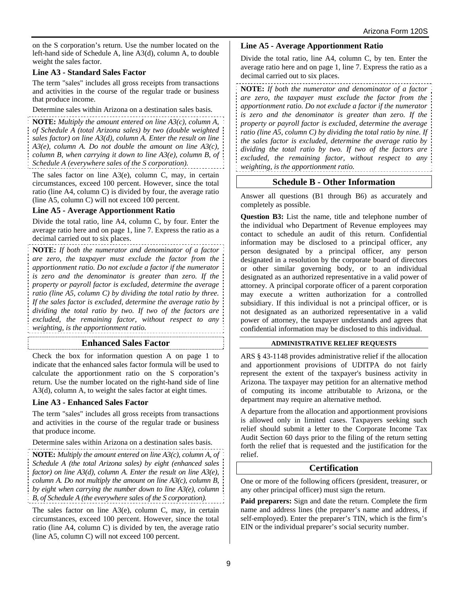on the S corporation's return. Use the number located on the left-hand side of Schedule A, line A3(d), column A, to double weight the sales factor.

# **Line A3 - Standard Sales Factor**

The term "sales" includes all gross receipts from transactions and activities in the course of the regular trade or business that produce income.

Determine sales within Arizona on a destination sales basis.

**NOTE:** *Multiply the amount entered on line A3(c), column A, of Schedule A (total Arizona sales) by two (double weighted sales factor) on line A3(d), column A. Enter the result on line A3(e), column A. Do not double the amount on line A3(c), column B, when carrying it down to line A3(e), column B, of Schedule A (everywhere sales of the S corporation).* 

The sales factor on line  $A3(e)$ , column C, may, in certain circumstances, exceed 100 percent. However, since the total ratio (line A4, column C) is divided by four, the average ratio (line A5, column C) will not exceed 100 percent.

# **Line A5 - Average Apportionment Ratio**

Divide the total ratio, line A4, column C, by four. Enter the average ratio here and on page 1, line 7. Express the ratio as a decimal carried out to six places.

**NOTE:** *If both the numerator and denominator of a factor are zero, the taxpayer must exclude the factor from the apportionment ratio. Do not exclude a factor if the numerator is zero and the denominator is greater than zero. If the property or payroll factor is excluded, determine the average ratio (line A5, column C) by dividing the total ratio by three. If the sales factor is excluded, determine the average ratio by dividing the total ratio by two. If two of the factors are excluded, the remaining factor, without respect to any weighting, is the apportionment ratio.*

# **Enhanced Sales Factor**

Check the box for information question A on page 1 to indicate that the enhanced sales factor formula will be used to calculate the apportionment ratio on the S corporation's return. Use the number located on the right-hand side of line A3(d), column A, to weight the sales factor at eight times.

# **Line A3 - Enhanced Sales Factor**

The term "sales" includes all gross receipts from transactions and activities in the course of the regular trade or business that produce income.

Determine sales within Arizona on a destination sales basis.

**NOTE:** *Multiply the amount entered on line A3(c), column A, of Schedule A (the total Arizona sales) by eight (enhanced sales factor) on line A3(d), column A. Enter the result on line A3(e), column A. Do not multiply the amount on line A3(c), column B, by eight when carrying the number down to line A3(e), column B, of Schedule A (the everywhere sales of the S corporation).* 

The sales factor on line A3(e), column C, may, in certain circumstances, exceed 100 percent. However, since the total ratio (line A4, column C) is divided by ten, the average ratio (line A5, column C) will not exceed 100 percent.

# **Line A5 - Average Apportionment Ratio**

Divide the total ratio, line A4, column C, by ten. Enter the average ratio here and on page 1, line 7. Express the ratio as a decimal carried out to six places.

**NOTE:** *If both the numerator and denominator of a factor are zero, the taxpayer must exclude the factor from the apportionment ratio. Do not exclude a factor if the numerator is zero and the denominator is greater than zero. If the property or payroll factor is excluded, determine the average ratio (line A5, column C) by dividing the total ratio by nine. If the sales factor is excluded, determine the average ratio by dividing the total ratio by two. If two of the factors are excluded, the remaining factor, without respect to any weighting, is the apportionment ratio.*

# **Schedule B - Other Information**

Answer all questions (B1 through B6) as accurately and completely as possible.

**Question B3:** List the name, title and telephone number of the individual who Department of Revenue employees may contact to schedule an audit of this return. Confidential information may be disclosed to a principal officer, any person designated by a principal officer, any person designated in a resolution by the corporate board of directors or other similar governing body, or to an individual designated as an authorized representative in a valid power of attorney. A principal corporate officer of a parent corporation may execute a written authorization for a controlled subsidiary. If this individual is not a principal officer, or is not designated as an authorized representative in a valid power of attorney, the taxpayer understands and agrees that confidential information may be disclosed to this individual.

# **ADMINISTRATIVE RELIEF REQUESTS**

ARS § 43-1148 provides administrative relief if the allocation and apportionment provisions of UDITPA do not fairly represent the extent of the taxpayer's business activity in Arizona. The taxpayer may petition for an alternative method of computing its income attributable to Arizona, or the department may require an alternative method.

A departure from the allocation and apportionment provisions is allowed only in limited cases. Taxpayers seeking such relief should submit a letter to the Corporate Income Tax Audit Section 60 days prior to the filing of the return setting forth the relief that is requested and the justification for the relief.

# **Certification**

One or more of the following officers (president, treasurer, or any other principal officer) must sign the return.

**Paid preparers:** Sign and date the return. Complete the firm name and address lines (the preparer's name and address, if self-employed). Enter the preparer's TIN, which is the firm's EIN or the individual preparer's social security number.